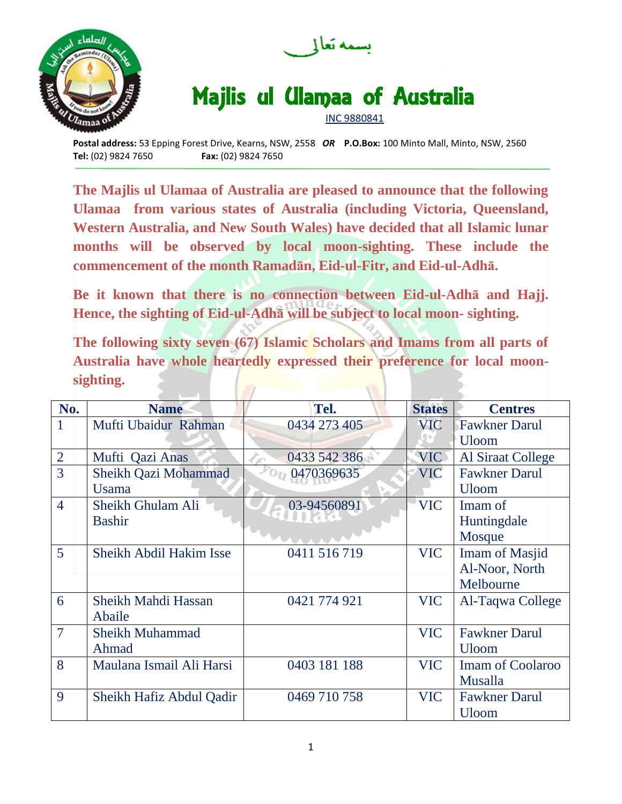



## Majlis ul Ulamaa of Australia

INC 9880841

**Postal address:** 53 Epping Forest Drive, Kearns, NSW, 2558 *OR* **P.O.Box:** 100 Minto Mall, Minto, NSW, 2560 **Tel:** (02) 9824 7650 **Fax:** (02) 9824 7650

**The Majlis ul Ulamaa of Australia are pleased to announce that the following Ulamaa from various states of Australia (including Victoria, Queensland, Western Australia, and New South Wales) have decided that all Islamic lunar months will be observed by local moon-sighting. These include the commencement of the month Ramadān, Eid-ul-Fitr, and Eid-ul-Adhā.** 

**Be it known that there is no connection between Eid-ul-Adhā and Hajj. Hence, the sighting of Eid-ul-Adhā will be subject to local moon- sighting.**

**The following sixty seven (67) Islamic Scholars and Imams from all parts of Australia have whole heartedly expressed their preference for local moonsighting.**

| No.            | <b>Name</b>              | Tel.         | <b>States</b> | <b>Centres</b>          |
|----------------|--------------------------|--------------|---------------|-------------------------|
| $\mathbf{1}$   | Mufti Ubaidur Rahman     | 0434 273 405 | <b>VIC</b>    | <b>Fawkner Darul</b>    |
|                |                          |              |               | <b>Uloom</b>            |
| $\overline{2}$ | Mufti Qazi Anas          | 0433 542 386 | <b>VIC</b>    | Al Siraat College       |
| 3              | Sheikh Qazi Mohammad     | 0470369635   | <b>VIC</b>    | <b>Fawkner Darul</b>    |
|                | <b>Usama</b>             |              |               | <b>Uloom</b>            |
| $\overline{4}$ | Sheikh Ghulam Ali        | 03-94560891  | <b>VIC</b>    | Imam of                 |
|                | <b>Bashir</b>            |              |               | Huntingdale             |
|                |                          |              |               | Mosque                  |
| 5              | Sheikh Abdil Hakim Isse  | 0411 516 719 | <b>VIC</b>    | <b>Imam of Masjid</b>   |
|                |                          |              |               | Al-Noor, North          |
|                |                          |              |               | Melbourne               |
| 6              | Sheikh Mahdi Hassan      | 0421 774 921 | <b>VIC</b>    | Al-Taqwa College        |
|                | Abaile                   |              |               |                         |
| 7              | <b>Sheikh Muhammad</b>   |              | <b>VIC</b>    | <b>Fawkner Darul</b>    |
|                | Ahmad                    |              |               | <b>Uloom</b>            |
| 8              | Maulana Ismail Ali Harsi | 0403 181 188 | <b>VIC</b>    | <b>Imam of Coolaroo</b> |
|                |                          |              |               | Musalla                 |
| 9              | Sheikh Hafiz Abdul Qadir | 0469 710 758 | <b>VIC</b>    | <b>Fawkner Darul</b>    |
|                |                          |              |               | <b>Uloom</b>            |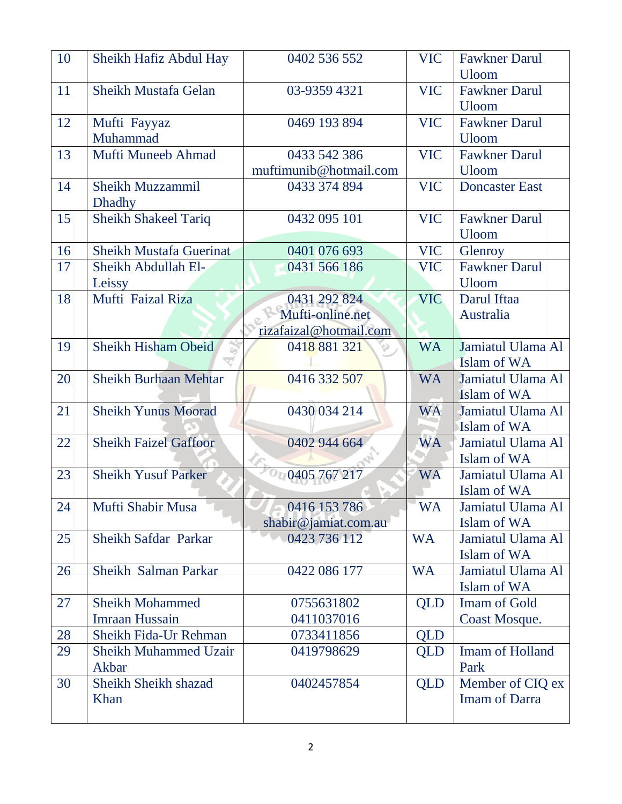| 10 | Sheikh Hafiz Abdul Hay                   | 0402 536 552                         | <b>VIC</b> | <b>Fawkner Darul</b><br><b>Uloom</b>     |
|----|------------------------------------------|--------------------------------------|------------|------------------------------------------|
| 11 | Sheikh Mustafa Gelan                     | 03-9359 4321                         | <b>VIC</b> | <b>Fawkner Darul</b><br><b>Uloom</b>     |
| 12 | Mufti Fayyaz<br>Muhammad                 | 0469 193 894                         | <b>VIC</b> | <b>Fawkner Darul</b><br><b>Uloom</b>     |
| 13 | Mufti Muneeb Ahmad                       | 0433 542 386                         | <b>VIC</b> | <b>Fawkner Darul</b>                     |
|    |                                          | muftimunib@hotmail.com               |            | <b>Uloom</b>                             |
| 14 | <b>Sheikh Muzzammil</b><br><b>Dhadhy</b> | 0433 374 894                         | <b>VIC</b> | <b>Doncaster East</b>                    |
| 15 | <b>Sheikh Shakeel Tariq</b>              | 0432 095 101                         | <b>VIC</b> | <b>Fawkner Darul</b><br><b>Uloom</b>     |
| 16 | Sheikh Mustafa Guerinat                  | 0401 076 693                         | <b>VIC</b> | Glenroy                                  |
| 17 | Sheikh Abdullah El-                      | 0431 566 186                         | <b>VIC</b> | <b>Fawkner Darul</b>                     |
|    | Leissy                                   |                                      |            | <b>Uloom</b>                             |
| 18 | Mufti Faizal Riza                        | 0431 292 824                         | <b>VIC</b> | Darul Iftaa                              |
|    |                                          | Mufti-online.net                     |            | Australia                                |
|    |                                          | rizafaizal@hotmail.com               |            |                                          |
| 19 | <b>Sheikh Hisham Obeid</b>               | 0418 881 321                         | <b>WA</b>  | Jamiatul Ulama Al<br>Islam of WA         |
| 20 | <b>Sheikh Burhaan Mehtar</b>             | 0416 332 507                         | <b>WA</b>  | Jamiatul Ulama Al<br>Islam of WA         |
| 21 | <b>Sheikh Yunus Moorad</b>               | 0430 034 214                         | <b>WA</b>  | Jamiatul Ulama Al<br>Islam of WA         |
| 22 | <b>Sheikh Faizel Gaffoor</b>             | 0402 944 664                         | <b>WA</b>  | Jamiatul Ulama Al                        |
|    |                                          |                                      |            | Islam of WA                              |
| 23 | <b>Sheikh Yusuf Parker</b>               | 00405767217                          | <b>WA</b>  | Jamiatul Ulama Al<br>Islam of WA         |
| 24 | Mufti Shabir Musa                        | 0416 153 786<br>shabir@jamiat.com.au | <b>WA</b>  | Jamiatul Ulama Al<br>Islam of WA         |
| 25 | Sheikh Safdar Parkar                     | 0423 736 112                         | <b>WA</b>  | Jamiatul Ulama Al<br>Islam of WA         |
| 26 | Sheikh Salman Parkar                     | 0422 086 177                         | <b>WA</b>  | Jamiatul Ulama Al<br>Islam of WA         |
| 27 | <b>Sheikh Mohammed</b>                   | 0755631802                           | <b>QLD</b> | <b>Imam of Gold</b>                      |
|    | <b>Imraan Hussain</b>                    | 0411037016                           |            | Coast Mosque.                            |
| 28 | Sheikh Fida-Ur Rehman                    | 0733411856                           | <b>QLD</b> |                                          |
| 29 | <b>Sheikh Muhammed Uzair</b><br>Akbar    | 0419798629                           | <b>QLD</b> | Imam of Holland<br>Park                  |
| 30 | Sheikh Sheikh shazad<br>Khan             | 0402457854                           | QLD        | Member of CIQ ex<br><b>Imam of Darra</b> |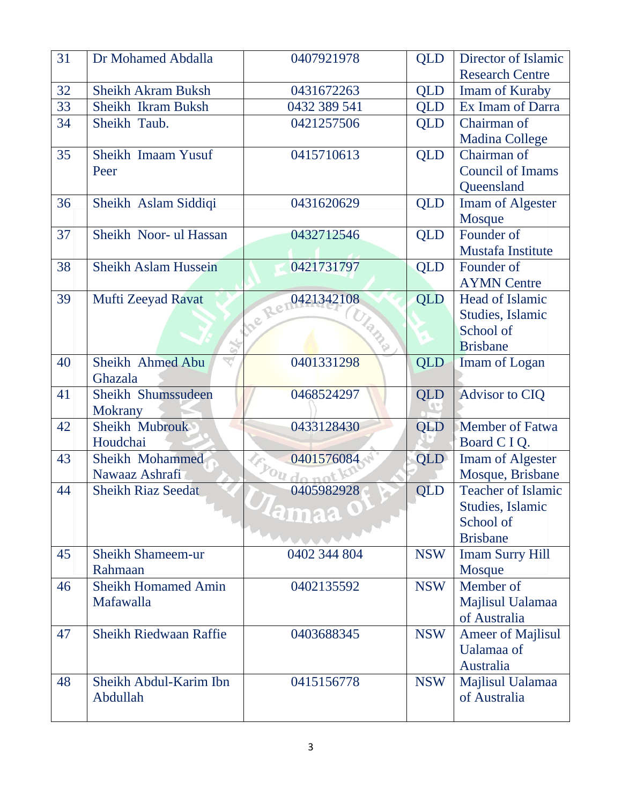| 31 | Dr Mohamed Abdalla            | 0407921978                       | <b>QLD</b> | Director of Islamic     |
|----|-------------------------------|----------------------------------|------------|-------------------------|
|    |                               |                                  |            | <b>Research Centre</b>  |
| 32 | <b>Sheikh Akram Buksh</b>     | 0431672263                       | <b>QLD</b> | Imam of Kuraby          |
| 33 | <b>Sheikh Ikram Buksh</b>     | 0432 389 541                     | <b>QLD</b> | Ex Imam of Darra        |
| 34 | Sheikh Taub.                  | 0421257506                       | <b>QLD</b> | Chairman of             |
|    |                               |                                  |            | <b>Madina College</b>   |
| 35 | Sheikh Imaam Yusuf            | 0415710613                       | <b>QLD</b> | Chairman of             |
|    | Peer                          |                                  |            | <b>Council of Imams</b> |
|    |                               |                                  |            | Queensland              |
| 36 | Sheikh Aslam Siddiqi          | 0431620629                       | <b>QLD</b> | <b>Imam of Algester</b> |
|    |                               |                                  |            | Mosque                  |
| 37 | Sheikh Noor- ul Hassan        | 0432712546                       | <b>QLD</b> | Founder of              |
|    |                               |                                  |            | Mustafa Institute       |
| 38 | <b>Sheikh Aslam Hussein</b>   | 0421731797                       | <b>QLD</b> | Founder of              |
|    |                               | Re 0421342108                    |            | <b>AYMN</b> Centre      |
| 39 | Mufti Zeeyad Ravat            |                                  | QLD        | Head of Islamic         |
|    |                               | <b>Ulamp</b>                     |            | Studies, Islamic        |
|    |                               |                                  |            | School of               |
|    | Ğ,                            |                                  |            | <b>Brisbane</b>         |
| 40 | Sheikh Ahmed Abu              | 0401331298                       | <b>QLD</b> | Imam of Logan           |
|    | Ghazala                       |                                  |            |                         |
| 41 | Sheikh Shumssudeen            | 0468524297                       | <b>QLD</b> | <b>Advisor to CIQ</b>   |
|    | <b>Mokrany</b>                |                                  |            |                         |
| 42 | Sheikh Mubrouk                | 0433128430                       | QLD        | <b>Member of Fatwa</b>  |
|    | Houdchai                      |                                  |            | Board C I Q.            |
| 43 | Sheikh Mohammed               | 0401576084                       | QLD        | Imam of Algester        |
|    | Nawaaz Ashrafi                | you do no                        |            | Mosque, Brisbane        |
| 44 | <b>Sheikh Riaz Seedat</b>     | 0405982928                       | QLD        | Teacher of Islamic      |
|    |                               | $\mathcal{P}$ lamaa $\mathbf{0}$ |            | Studies, Islamic        |
|    |                               |                                  |            | School of               |
|    |                               |                                  |            | <b>Brisbane</b>         |
| 45 | <b>Sheikh Shameem-ur</b>      | 0402 344 804                     | <b>NSW</b> | <b>Imam Surry Hill</b>  |
|    | Rahmaan                       |                                  |            | Mosque                  |
| 46 | <b>Sheikh Homamed Amin</b>    | 0402135592                       | <b>NSW</b> | Member of               |
|    | Mafawalla                     |                                  |            | Majlisul Ualamaa        |
|    |                               |                                  |            | of Australia            |
| 47 | <b>Sheikh Riedwaan Raffie</b> | 0403688345                       | <b>NSW</b> | Ameer of Majlisul       |
|    |                               |                                  |            | Ualamaa of              |
|    |                               |                                  |            | Australia               |
| 48 |                               |                                  |            |                         |
|    | Sheikh Abdul-Karim Ibn        | 0415156778                       | <b>NSW</b> | Majlisul Ualamaa        |
|    | Abdullah                      |                                  |            | of Australia            |